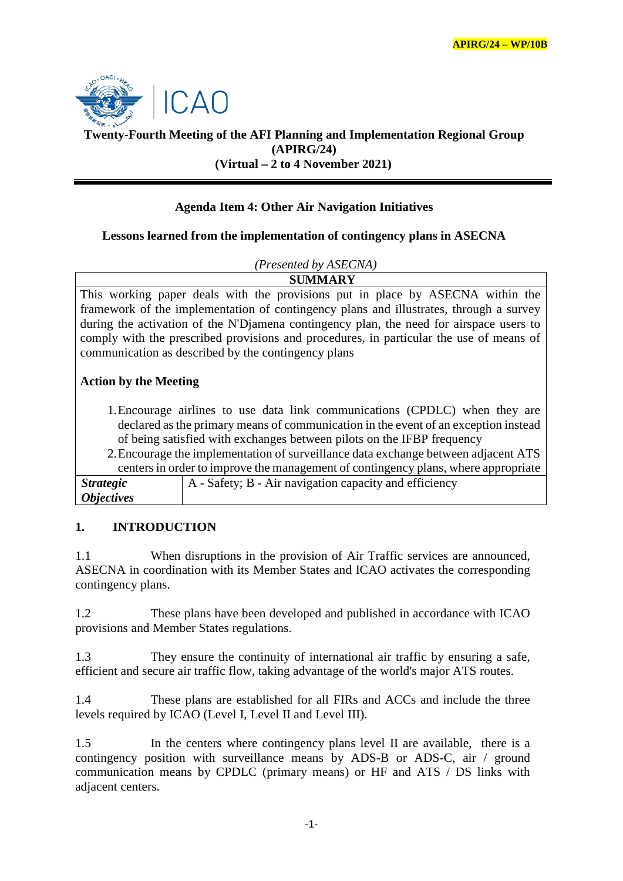

# **Twenty-Fourth Meeting of the AFI Planning and Implementation Regional Group (APIRG/24) (Virtual – 2 to 4 November 2021)**

# **Agenda Item 4: Other Air Navigation Initiatives**

## **Lessons learned from the implementation of contingency plans in ASECNA**

#### *(Presented by ASECNA)*

**SUMMARY** This working paper deals with the provisions put in place by ASECNA within the framework of the implementation of contingency plans and illustrates, through a survey during the activation of the N'Djamena contingency plan, the need for airspace users to comply with the prescribed provisions and procedures, in particular the use of means of communication as described by the contingency plans

## **Action by the Meeting**

- 1.Encourage airlines to use data link communications (CPDLC) when they are declared as the primary means of communication in the event of an exception instead of being satisfied with exchanges between pilots on the IFBP frequency
- 2.Encourage the implementation of surveillance data exchange between adjacent ATS centers in order to improve the management of contingency plans, where appropriate *Strategic*  A - Safety; B - Air navigation capacity and efficiency

| <i><b>Objectives</b></i> |  |
|--------------------------|--|
|                          |  |
|                          |  |

### **1. INTRODUCTION**

1.1 When disruptions in the provision of Air Traffic services are announced, ASECNA in coordination with its Member States and ICAO activates the corresponding contingency plans.

1.2 These plans have been developed and published in accordance with ICAO provisions and Member States regulations.

1.3 They ensure the continuity of international air traffic by ensuring a safe, efficient and secure air traffic flow, taking advantage of the world's major ATS routes.

1.4 These plans are established for all FIRs and ACCs and include the three levels required by ICAO (Level I, Level II and Level III).

1.5 In the centers where contingency plans level II are available, there is a contingency position with surveillance means by ADS-B or ADS-C, air / ground communication means by CPDLC (primary means) or HF and ATS / DS links with adjacent centers.